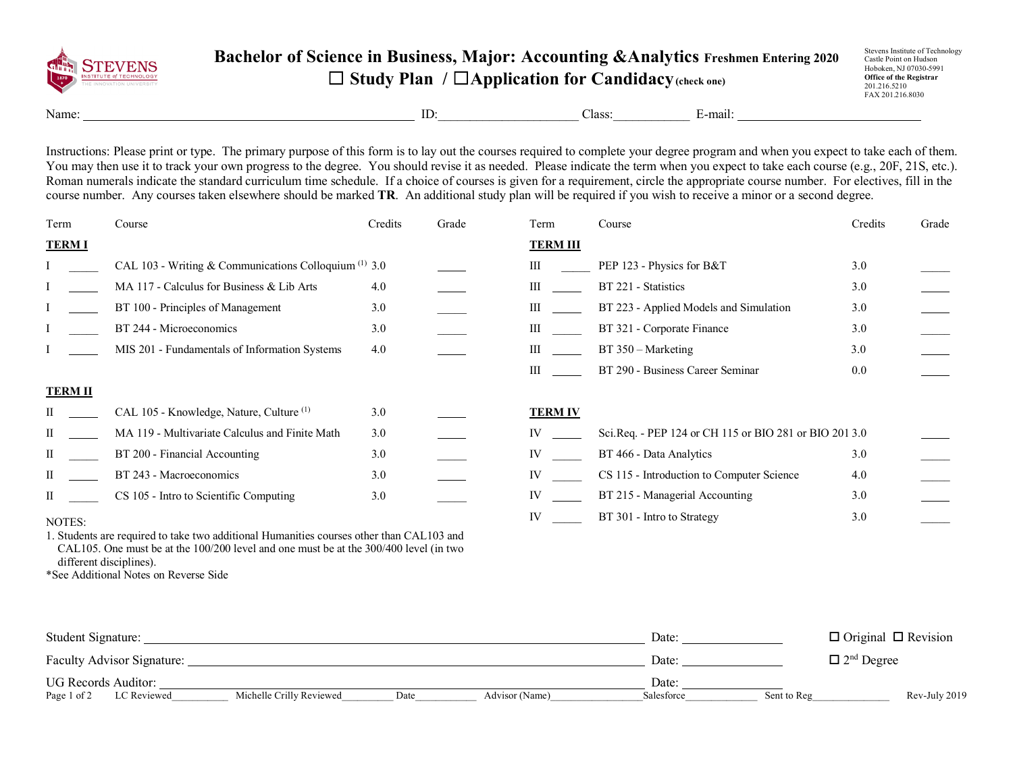

## **Bachelor of Science in Business, Major: Accounting &Analytics Freshmen Entering 2020** ☐ **Study Plan /** ☐**Application for Candidacy(check one)**

Name: E-mail: E-mail:

Instructions: Please print or type. The primary purpose of this form is to lay out the courses required to complete your degree program and when you expect to take each of them. You may then use it to track your own progress to the degree. You should revise it as needed. Please indicate the term when you expect to take each course (e.g., 20F, 21S, etc.). Roman numerals indicate the standard curriculum time schedule. If a choice of courses is given for a requirement, circle the appropriate course number. For electives, fill in the course number. Any courses taken elsewhere should be marked **TR**. An additional study plan will be required if you wish to receive a minor or a second degree.

| Term                                                                                  | Course                                                  | Credits | Grade | Term            | Course                                                 | Credits | Grade |
|---------------------------------------------------------------------------------------|---------------------------------------------------------|---------|-------|-----------------|--------------------------------------------------------|---------|-------|
| <b>TERM I</b>                                                                         |                                                         |         |       | <b>TERM III</b> |                                                        |         |       |
|                                                                                       | CAL 103 - Writing & Communications Colloquium $(1)$ 3.0 |         |       | Ш               | PEP 123 - Physics for B&T                              | 3.0     |       |
|                                                                                       | MA 117 - Calculus for Business & Lib Arts               | 4.0     |       | Ш               | BT 221 - Statistics                                    | 3.0     |       |
|                                                                                       | BT 100 - Principles of Management                       | 3.0     |       | Ш               | BT 223 - Applied Models and Simulation                 | 3.0     |       |
|                                                                                       | BT 244 - Microeconomics                                 | 3.0     |       | Ш               | BT 321 - Corporate Finance                             | 3.0     |       |
|                                                                                       | MIS 201 - Fundamentals of Information Systems           | 4.0     |       | Ш               | BT 350 – Marketing                                     | 3.0     |       |
|                                                                                       |                                                         |         |       | Ш               | BT 290 - Business Career Seminar                       | 0.0     |       |
| <b>TERM II</b>                                                                        |                                                         |         |       |                 |                                                        |         |       |
|                                                                                       | CAL 105 - Knowledge, Nature, Culture <sup>(1)</sup>     | 3.0     |       | <b>TERM IV</b>  |                                                        |         |       |
| П                                                                                     | MA 119 - Multivariate Calculus and Finite Math          | 3.0     |       | IV              | Sci.Req. - PEP 124 or CH 115 or BIO 281 or BIO 201 3.0 |         |       |
| П                                                                                     | BT 200 - Financial Accounting                           | 3.0     |       | IV              | BT 466 - Data Analytics                                | 3.0     |       |
| П                                                                                     | BT 243 - Macroeconomics                                 | 3.0     |       | IV              | CS 115 - Introduction to Computer Science              | 4.0     |       |
| П                                                                                     | CS 105 - Intro to Scientific Computing                  | 3.0     |       | IV              | BT 215 - Managerial Accounting                         | 3.0     |       |
| NOTES:                                                                                |                                                         |         |       | IV              | BT 301 - Intro to Strategy                             | 3.0     |       |
| Students are required to take two additional Humanities courses other than CAL103 and |                                                         |         |       |                 |                                                        |         |       |

1. Students are required to take two additional Humanities courses other than CAL103 and CAL105. One must be at the 100/200 level and one must be at the 300/400 level (in two different disciplines).

\*See Additional Notes on Reverse Side

| Student Signature:                                                               | Date       | $\Box$ Original $\Box$ Revision |
|----------------------------------------------------------------------------------|------------|---------------------------------|
| Faculty Advisor Signature:                                                       | Date       | $\Box$ 2 <sup>nd</sup> Degree   |
| <b>UG Records Auditor:</b>                                                       | Date       |                                 |
| Michelle Crilly Reviewed<br>LC Reviewed<br>Page 1 of 2<br>Advisor (Name)<br>Date | Salesforce | Rev-July 2019<br>Sent to Reg    |